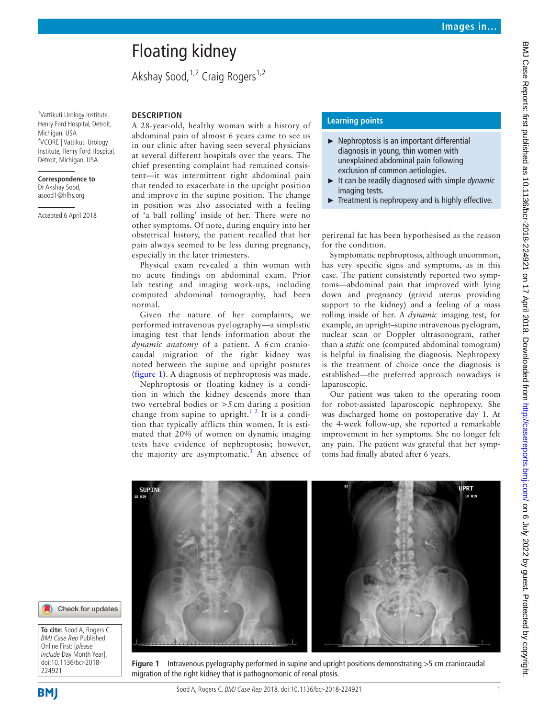# BMJ Case Reports: first published as 10.1136/bcr-2018-224921 on 17 April 2018. Downloaded from http://casereports.bmj.com/ on 6 July 2022 by guest. Protected by copyright BMJ Case Reports: first published as 10.1136/bcr-2018-224921 on 17 April 2018. Downloaded from <http://casereports.bmj.com/> on 6 July 2022 by guest. Protected by copyright.

# Floating kidney

Akshay Sood,  $1,2$  Craig Rogers $1,2$ 

1 Vattikuti Urology Institute, Henry Ford Hospital, Detroit, Michigan, USA 2 VCORE | Vattikuti Urology Institute, Henry Ford Hospital, Detroit, Michigan, USA

### **Correspondence to**

Dr Akshay Sood, asood1@hfhs.org

Accepted 6 April 2018

### **Description**

A 28-year-old, healthy woman with a history of abdominal pain of almost 6 years came to see us in our clinic after having seen several physicians at several different hospitals over the years. The chief presenting complaint had remained consistent**—**it was intermittent right abdominal pain that tended to exacerbate in the upright position and improve in the supine position. The change in position was also associated with a feeling of 'a ball rolling' inside of her. There were no other symptoms. Of note, during enquiry into her obstetrical history, the patient recalled that her pain always seemed to be less during pregnancy, especially in the later trimesters.

Physical exam revealed a thin woman with no acute findings on abdominal exam. Prior lab testing and imaging work-ups, including computed abdominal tomography, had been normal.

Given the nature of her complaints, we performed intravenous pyelography**—**a simplistic imaging test that lends information about the *dynamic anatomy* of a patient. A 6 cm craniocaudal migration of the right kidney was noted between the supine and upright postures ([figure](#page-0-0) 1). A diagnosis of nephroptosis was made.

Nephroptosis or floating kidney is a condition in which the kidney descends more than two vertebral bodies or >5 cm during a position change from supine to upright.<sup>12</sup> It is a condition that typically afflicts thin women. It is estimated that 20% of women on dynamic imaging tests have evidence of nephroptosis; however, the majority are asymptomatic.<sup>[3](#page-1-1)</sup> An absence of

# **Learning points**

- ► Nephroptosis is an important differential diagnosis in young, thin women with unexplained abdominal pain following exclusion of common aetiologies.
- ► It can be readily diagnosed with simple *dynamic* imaging tests.
- Treatment is nephropexy and is highly effective.

perirenal fat has been hypothesised as the reason for the condition.

Symptomatic nephroptosis, although uncommon, has very specific signs and symptoms, as in this case. The patient consistently reported two symptoms**—**abdominal pain that improved with lying down and pregnancy (gravid uterus providing support to the kidney) and a feeling of a mass rolling inside of her. A *dynamic* imaging test, for example, an upright**–**supine intravenous pyelogram, nuclear scan or Doppler ultrasonogram, rather than a *static* one (computed abdominal tomogram) is helpful in finalising the diagnosis. Nephropexy is the treatment of choice once the diagnosis is established**—**the preferred approach nowadays is laparoscopic.

Our patient was taken to the operating room for robot-assisted laparoscopic nephropexy. She was discharged home on postoperative day 1. At the 4-week follow-up, she reported a remarkable improvement in her symptoms. She no longer felt any pain. The patient was grateful that her symptoms had finally abated after 6 years.



<span id="page-0-0"></span>**Figure 1** Intravenous pyelography performed in supine and upright positions demonstrating >5 cm craniocaudal migration of the right kidney that is pathognomonic of renal ptosis.

**To cite:** Sood A, Rogers C. BMJ Case Rep Published Online First: [please include Day Month Year]. doi:10.1136/bcr-2018- 224921



**BMI**